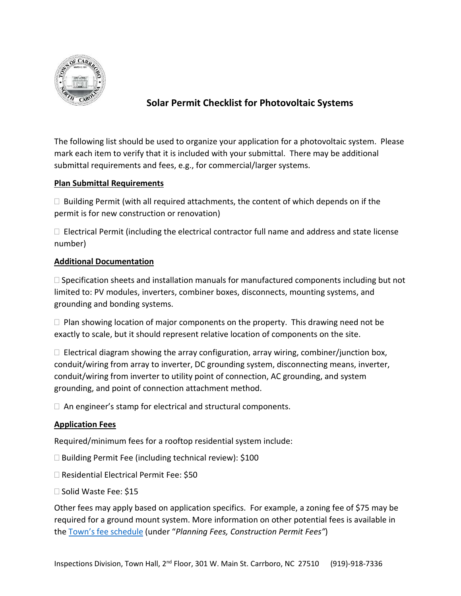

# **Solar Permit Checklist for Photovoltaic Systems**

The following list should be used to organize your application for a photovoltaic system. Please mark each item to verify that it is included with your submittal. There may be additional submittal requirements and fees, e.g., for commercial/larger systems.

### **Plan Submittal Requirements**

 $\Box$  Building Permit (with all required attachments, the content of which depends on if the permit is for new construction or renovation)

 $\Box$  Electrical Permit (including the electrical contractor full name and address and state license number)

### **Additional Documentation**

 $\Box$  Specification sheets and installation manuals for manufactured components including but not limited to: PV modules, inverters, combiner boxes, disconnects, mounting systems, and grounding and bonding systems.

 $\Box$  Plan showing location of major components on the property. This drawing need not be exactly to scale, but it should represent relative location of components on the site.

 $\Box$  Electrical diagram showing the array configuration, array wiring, combiner/junction box, conduit/wiring from array to inverter, DC grounding system, disconnecting means, inverter, conduit/wiring from inverter to utility point of connection, AC grounding, and system grounding, and point of connection attachment method.

 $\Box$  An engineer's stamp for electrical and structural components.

## **Application Fees**

Required/minimum fees for a rooftop residential system include:

- $\Box$  Building Permit Fee (including technical review): \$100
- □ Residential Electrical Permit Fee: \$50
- □ Solid Waste Fee: \$15

Other fees may apply based on application specifics. For example, a zoning fee of \$75 may be required for a ground mount system. More information on other potential fees is available in the [Town's fee schedule](http://www.townofcarrboro.org/DocumentCenter/Home/View/151) (under "*Planning Fees, Construction Permit Fees"*)